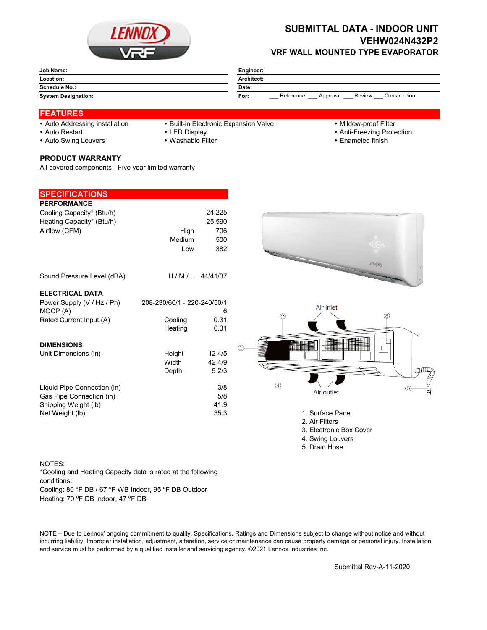

## **SUBMITTAL DATA - INDOOR UNIT VEHW024N432P2 VRF WALL MOUNTED TYPE EVAPORATOR**

| Job Name:                  | Engineer:                                               |  |  |
|----------------------------|---------------------------------------------------------|--|--|
| Location:                  | <b>Architect:</b>                                       |  |  |
| <b>Schedule No.:</b>       | Date:                                                   |  |  |
| <b>System Designation:</b> | Reference<br>Review<br>Construction<br>For:<br>Approval |  |  |

### **FEATURES**

- 
- Auto Addressing installation Built-in Electronic Expansion Valve Mildew-proof Filter
- 

- 
- Auto Restart **LED Display Community Auto Restart Auto Restart** of Anti-Freezing Protection
- Auto Swing Louvers Washable Filter **Enameled finish** Enameled finish

### **PRODUCT WARRANTY**

All covered components - Five year limited warranty

| <b>SPECIFICATIONS</b>       |                             |        |  |
|-----------------------------|-----------------------------|--------|--|
| <b>PERFORMANCE</b>          |                             |        |  |
| Cooling Capacity* (Btu/h)   |                             | 24,225 |  |
| Heating Capacity* (Btu/h)   |                             | 25,590 |  |
| Airflow (CFM)               | High                        | 706    |  |
|                             | Medium                      | 500    |  |
|                             | Low                         | 382    |  |
|                             |                             |        |  |
| Sound Pressure Level (dBA)  | $H/M/L$ 44/41/37            |        |  |
| <b>ELECTRICAL DATA</b>      |                             |        |  |
| Power Supply (V / Hz / Ph)  | 208-230/60/1 - 220-240/50/1 |        |  |
| MOCP (A)                    |                             | 6      |  |
| Rated Current Input (A)     | Cooling                     | 0.31   |  |
|                             | Heating                     | 0.31   |  |
| <b>DIMENSIONS</b>           |                             |        |  |
| Unit Dimensions (in)        | Height                      | 12 4/5 |  |
|                             | Width                       | 42 4/9 |  |
|                             | Depth                       | 92/3   |  |
|                             |                             |        |  |
| Liquid Pipe Connection (in) |                             | 3/8    |  |
| Gas Pipe Connection (in)    |                             | 5/8    |  |
| Shipping Weight (lb)        |                             | 41.9   |  |
| Net Weight (lb)             |                             | 35.3   |  |
|                             |                             |        |  |





- 1. Surface Panel
- 2. Air Filters
- 3. Electronic Box Cover
- 4. Swing Louvers
- 5. Drain Hose

#### NOTES:

\*Cooling and Heating Capacity data is rated at the following conditions:

Cooling: 80 °F DB / 67 °F WB Indoor, 95 °F DB Outdoor

Heating: 70 °F DB Indoor, 47 °F DB

NOTE – Due to Lennox' ongoing commitment to quality, Specifications, Ratings and Dimensions subject to change without notice and without incurring liability. Improper installation, adjustment, alteration, service or maintenance can cause property damage or personal injury. Installation and service must be performed by a qualified installer and servicing agency. ©2021 Lennox Industries Inc.